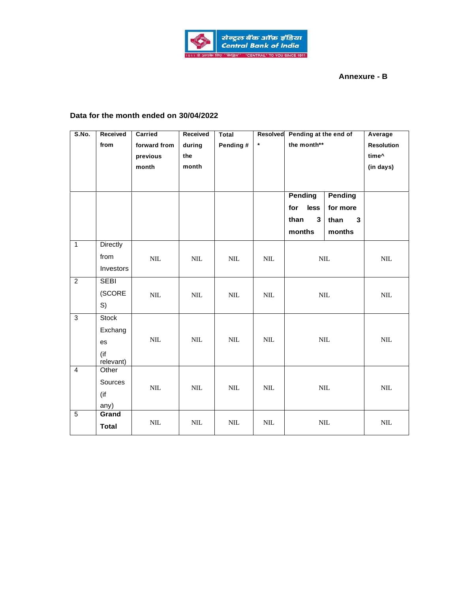

## **Annexure - B**

## **Data for the month ended on 30/04/2022**

| S.No.          | Received<br>from                                  | Carried<br>forward from<br>previous<br>month | Received<br>during<br>the<br>month | Total<br>Pending # | Resolved<br>$\star$ | Pending at the end of<br>the month**<br><b>Pending</b><br><b>Pending</b> |                                 | Average<br><b>Resolution</b><br>time^<br>(in days) |
|----------------|---------------------------------------------------|----------------------------------------------|------------------------------------|--------------------|---------------------|--------------------------------------------------------------------------|---------------------------------|----------------------------------------------------|
|                |                                                   |                                              |                                    |                    |                     | for<br>less<br>$\mathbf{3}$<br>than<br>months                            | for more<br>than<br>3<br>months |                                                    |
| $\mathbf{1}$   | <b>Directly</b><br>from<br>Investors              | $\mbox{NIL}$                                 | $\text{NIL}$                       | NIL                | $\text{NIL}$        | $\mbox{NIL}$                                                             |                                 | $\text{NIL}$                                       |
| $\overline{2}$ | <b>SEBI</b><br>(SCORE<br>S)                       | $\mbox{NIL}$                                 | $\mbox{NIL}$                       | $\text{NIL}$       | $\text{NIL}$        | $\mbox{NIL}$                                                             |                                 | $\mbox{NIL}$                                       |
| $\overline{3}$ | <b>Stock</b><br>Exchang<br>es<br>(if<br>relevant) | $\mbox{NIL}$                                 | $\text{NIL}$                       | NIL                | $\mbox{NIL}$        | $\mbox{NIL}$                                                             |                                 | $\mbox{NIL}$                                       |
| $\overline{4}$ | Other<br>Sources<br>(if<br>any)                   | $\mbox{NIL}$                                 | $\text{NIL}$                       | $\text{NIL}$       | $\mbox{NIL}$        | $\mbox{NIL}$                                                             |                                 | $\text{NIL}$                                       |
| $\overline{5}$ | Grand<br><b>Total</b>                             | $\mbox{NIL}$                                 | $\mbox{NIL}$                       | $\mbox{NIL}$       | $\mbox{NIL}$        |                                                                          | $\mbox{NIL}$                    | $\mbox{NIL}$                                       |